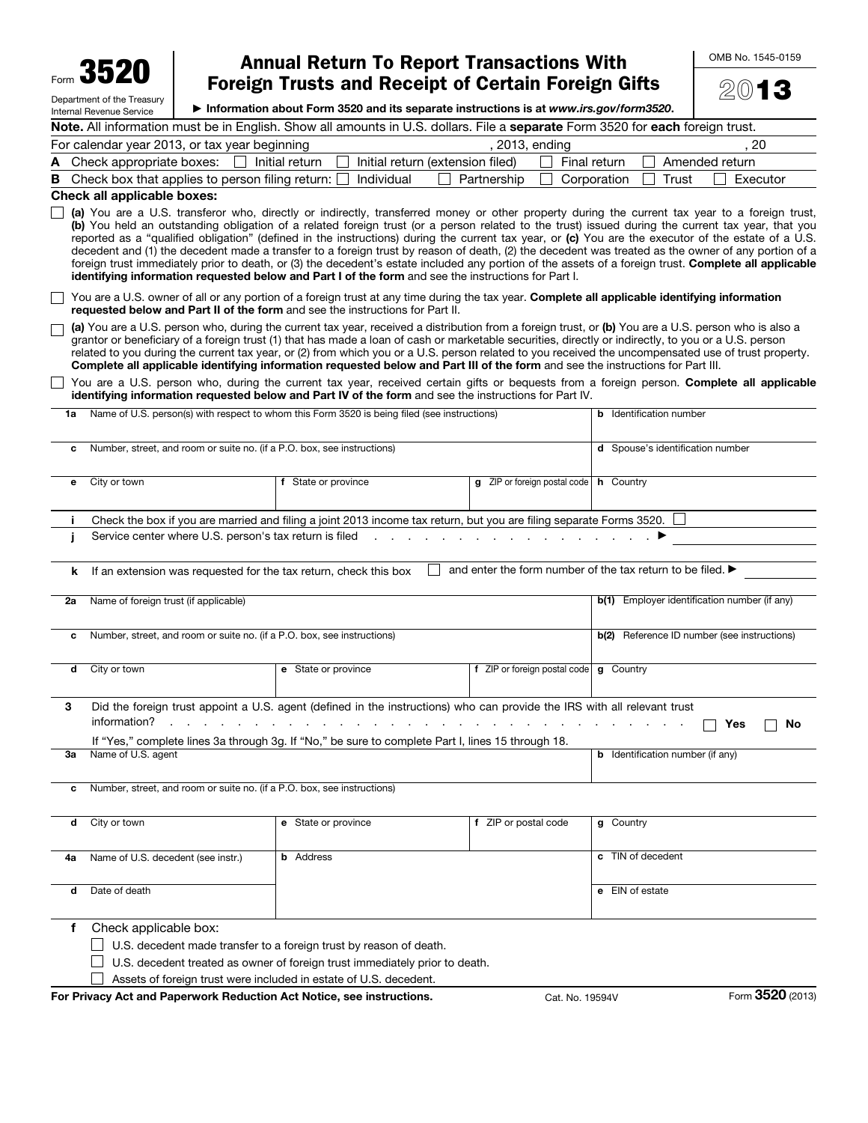Form 3520 Department of the Treasury

Internal Revenue Service

## Annual Return To Report Transactions With Foreign Trusts and Receipt of Certain Foreign Gifts

OMB No. 1545-0159

2013

▶ Information about Form 3520 and its separate instructions is at *www.irs.gov/form3520*.

| Note. All information must be in English. Show all amounts in U.S. dollars. File a separate Form 3520 for each foreign trust. |                                                  |                |  |  |  |
|-------------------------------------------------------------------------------------------------------------------------------|--------------------------------------------------|----------------|--|--|--|
| For calendar year 2013, or tax year beginning                                                                                 | . 2013. ending                                   | 20             |  |  |  |
| A Check appropriate boxes: $\Box$ Initial return $\Box$ Initial return (extension filed) $\Box$ Final return                  |                                                  | Amended return |  |  |  |
| <b>B</b> Check box that applies to person filing return: $\Box$ Individual                                                    | $\Box$ Corporation $\Box$ Trust<br>  Partnership | Executor       |  |  |  |

## Check all applicable boxes:

 $\Box$  (a) You are a U.S. transferor who, directly or indirectly, transferred money or other property during the current tax year to a foreign trust, (b) You held an outstanding obligation of a related foreign trust (or a person related to the trust) issued during the current tax year, that you reported as a "qualified obligation" (defined in the instructions) during the current tax year, or (c) You are the executor of the estate of a U.S. decedent and (1) the decedent made a transfer to a foreign trust by reason of death, (2) the decedent was treated as the owner of any portion of a foreign trust immediately prior to death, or (3) the decedent's estate included any portion of the assets of a foreign trust. Complete all applicable identifying information requested below and Part I of the form and see the instructions for Part I.

You are a U.S. owner of all or any portion of a foreign trust at any time during the tax year. Complete all applicable identifying information requested below and Part II of the form and see the instructions for Part II.

(a) You are a U.S. person who, during the current tax year, received a distribution from a foreign trust, or (b) You are a U.S. person who is also a  $\Box$ grantor or beneficiary of a foreign trust (1) that has made a loan of cash or marketable securities, directly or indirectly, to you or a U.S. person related to you during the current tax year, or (2) from which you or a U.S. person related to you received the uncompensated use of trust property. Complete all applicable identifying information requested below and Part III of the form and see the instructions for Part III.

| □ You are a U.S. person who, during the current tax year, received certain gifts or bequests from a foreign person. Complete all applicable |  |
|---------------------------------------------------------------------------------------------------------------------------------------------|--|
| identifying information requested below and Part IV of the form and see the instructions for Part IV.                                       |  |

| 1a | Name of U.S. person(s) with respect to whom this Form 3520 is being filed (see instructions) | <b>b</b> Identification number                                                                                                                                                                                                |                                                     |                                                            |  |  |
|----|----------------------------------------------------------------------------------------------|-------------------------------------------------------------------------------------------------------------------------------------------------------------------------------------------------------------------------------|-----------------------------------------------------|------------------------------------------------------------|--|--|
| c  | Number, street, and room or suite no. (if a P.O. box, see instructions)                      | d Spouse's identification number                                                                                                                                                                                              |                                                     |                                                            |  |  |
| е  | City or town                                                                                 | $g$ ZIP or foreign postal code   h Country                                                                                                                                                                                    |                                                     |                                                            |  |  |
| j. |                                                                                              | Check the box if you are married and filing a joint 2013 income tax return, but you are filing separate Forms 3520.                                                                                                           |                                                     |                                                            |  |  |
| j. | Service center where U.S. person's tax return is filed                                       |                                                                                                                                                                                                                               | and a state of the state of the                     |                                                            |  |  |
| k. | If an extension was requested for the tax return, check this box                             |                                                                                                                                                                                                                               |                                                     | and enter the form number of the tax return to be filed. ▶ |  |  |
|    |                                                                                              |                                                                                                                                                                                                                               |                                                     |                                                            |  |  |
| 2a | Name of foreign trust (if applicable)                                                        |                                                                                                                                                                                                                               | <b>b(1)</b> Employer identification number (if any) |                                                            |  |  |
| с  | Number, street, and room or suite no. (if a P.O. box, see instructions)                      |                                                                                                                                                                                                                               | <b>b(2)</b> Reference ID number (see instructions)  |                                                            |  |  |
| d  | City or town                                                                                 | e State or province                                                                                                                                                                                                           | f ZIP or foreign postal code <b>g</b> Country       |                                                            |  |  |
| 3  | information?<br>and the company of                                                           | Did the foreign trust appoint a U.S. agent (defined in the instructions) who can provide the IRS with all relevant trust<br>If "Yes," complete lines 3a through 3g. If "No," be sure to complete Part I, lines 15 through 18. |                                                     | Yes<br>No                                                  |  |  |
| За | Name of U.S. agent                                                                           |                                                                                                                                                                                                                               |                                                     | <b>b</b> Identification number (if any)                    |  |  |
| c  | Number, street, and room or suite no. (if a P.O. box, see instructions)                      |                                                                                                                                                                                                                               |                                                     |                                                            |  |  |
| d  | City or town                                                                                 | e State or province                                                                                                                                                                                                           | f ZIP or postal code                                | g Country                                                  |  |  |
| 4a | Name of U.S. decedent (see instr.)                                                           | <b>b</b> Address                                                                                                                                                                                                              |                                                     | c TIN of decedent                                          |  |  |
| d  | Date of death                                                                                |                                                                                                                                                                                                                               |                                                     | e EIN of estate                                            |  |  |
| f  | Check applicable box:                                                                        | U.S. decedent made transfer to a foreign trust by reason of death.<br>U.S. decedent treated as owner of foreign trust immediately prior to death.<br>Assets of foreign trust were included in estate of U.S. decedent.        |                                                     |                                                            |  |  |

For Privacy Act and Paperwork Reduction Act Notice, see instructions. Cat. No. 19594V Form 3520 (2013)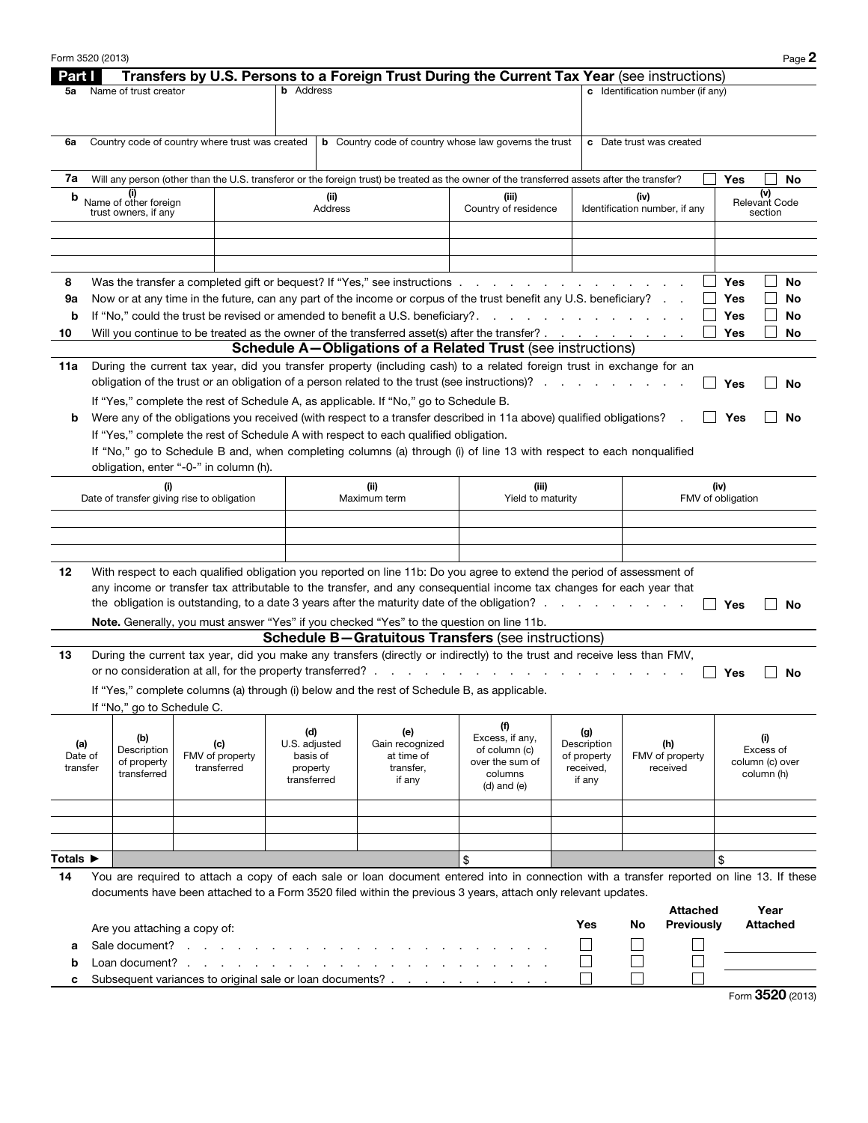| <b>Part I</b>                  |                                                                                                                                                                                                     |     |                 | Transfers by U.S. Persons to a Foreign Trust During the Current Tax Year (see instructions) |                                                                                      |                                                                                                                                             |                     |                                       |                           |                              |
|--------------------------------|-----------------------------------------------------------------------------------------------------------------------------------------------------------------------------------------------------|-----|-----------------|---------------------------------------------------------------------------------------------|--------------------------------------------------------------------------------------|---------------------------------------------------------------------------------------------------------------------------------------------|---------------------|---------------------------------------|---------------------------|------------------------------|
| 5a                             | Name of trust creator                                                                                                                                                                               |     |                 | <b>b</b> Address                                                                            |                                                                                      |                                                                                                                                             |                     | c Identification number (if any)      |                           |                              |
|                                |                                                                                                                                                                                                     |     |                 |                                                                                             |                                                                                      |                                                                                                                                             |                     |                                       |                           |                              |
|                                |                                                                                                                                                                                                     |     |                 |                                                                                             |                                                                                      |                                                                                                                                             |                     |                                       |                           |                              |
| 6a                             | Country code of country where trust was created                                                                                                                                                     |     |                 |                                                                                             |                                                                                      | <b>b</b> Country code of country whose law governs the trust                                                                                |                     | c Date trust was created              |                           |                              |
|                                |                                                                                                                                                                                                     |     |                 |                                                                                             |                                                                                      |                                                                                                                                             |                     |                                       |                           |                              |
| 7a                             |                                                                                                                                                                                                     |     |                 |                                                                                             |                                                                                      | Will any person (other than the U.S. transferor or the foreign trust) be treated as the owner of the transferred assets after the transfer? |                     |                                       | Yes                       | No                           |
| b                              | Name of other foreign                                                                                                                                                                               |     |                 | (ii)<br>Address                                                                             |                                                                                      | (iii)<br>Country of residence                                                                                                               |                     | (iv)<br>Identification number, if any |                           | (v)<br><b>Relevant Code</b>  |
|                                | trust owners, if any                                                                                                                                                                                |     |                 |                                                                                             |                                                                                      |                                                                                                                                             |                     |                                       |                           | section                      |
|                                |                                                                                                                                                                                                     |     |                 |                                                                                             |                                                                                      |                                                                                                                                             |                     |                                       |                           |                              |
|                                |                                                                                                                                                                                                     |     |                 |                                                                                             |                                                                                      |                                                                                                                                             |                     |                                       |                           |                              |
| 8                              |                                                                                                                                                                                                     |     |                 |                                                                                             |                                                                                      | Was the transfer a completed gift or bequest? If "Yes," see instructions enter-                                                             |                     |                                       | Yes                       | No                           |
| 9а                             |                                                                                                                                                                                                     |     |                 |                                                                                             |                                                                                      |                                                                                                                                             |                     |                                       | Yes                       | No                           |
| b                              | Now or at any time in the future, can any part of the income or corpus of the trust benefit any U.S. beneficiary?<br>If "No," could the trust be revised or amended to benefit a U.S. beneficiary?. |     |                 |                                                                                             | the contract of the contract of the con-                                             |                                                                                                                                             |                     | Yes                                   | No                        |                              |
| 10                             |                                                                                                                                                                                                     |     |                 |                                                                                             |                                                                                      | Will you continue to be treated as the owner of the transferred asset(s) after the transfer?                                                |                     |                                       | Yes                       | No                           |
|                                |                                                                                                                                                                                                     |     |                 |                                                                                             |                                                                                      | <b>Schedule A–Obligations of a Related Trust</b> (see instructions)                                                                         |                     |                                       |                           |                              |
| 11a                            |                                                                                                                                                                                                     |     |                 |                                                                                             |                                                                                      | During the current tax year, did you transfer property (including cash) to a related foreign trust in exchange for an                       |                     |                                       |                           |                              |
|                                |                                                                                                                                                                                                     |     |                 |                                                                                             |                                                                                      | obligation of the trust or an obligation of a person related to the trust (see instructions)?                                               |                     |                                       | Yes                       | No                           |
|                                |                                                                                                                                                                                                     |     |                 |                                                                                             | If "Yes," complete the rest of Schedule A, as applicable. If "No," go to Schedule B. |                                                                                                                                             |                     |                                       |                           |                              |
| b                              |                                                                                                                                                                                                     |     |                 |                                                                                             |                                                                                      | Were any of the obligations you received (with respect to a transfer described in 11a above) qualified obligations?                         |                     |                                       | Yes                       | No                           |
|                                |                                                                                                                                                                                                     |     |                 |                                                                                             | If "Yes," complete the rest of Schedule A with respect to each qualified obligation. |                                                                                                                                             |                     |                                       |                           |                              |
|                                |                                                                                                                                                                                                     |     |                 |                                                                                             |                                                                                      | If "No," go to Schedule B and, when completing columns (a) through (i) of line 13 with respect to each nonqualified                         |                     |                                       |                           |                              |
|                                | obligation, enter "-0-" in column (h).                                                                                                                                                              |     |                 |                                                                                             |                                                                                      |                                                                                                                                             |                     |                                       |                           |                              |
|                                | Date of transfer giving rise to obligation                                                                                                                                                          | (i) |                 |                                                                                             | (ii)<br>Maximum term                                                                 | (iii)<br>Yield to maturity                                                                                                                  |                     |                                       | (iv)<br>FMV of obligation |                              |
|                                |                                                                                                                                                                                                     |     |                 |                                                                                             |                                                                                      |                                                                                                                                             |                     |                                       |                           |                              |
|                                |                                                                                                                                                                                                     |     |                 |                                                                                             |                                                                                      |                                                                                                                                             |                     |                                       |                           |                              |
|                                |                                                                                                                                                                                                     |     |                 |                                                                                             |                                                                                      |                                                                                                                                             |                     |                                       |                           |                              |
|                                |                                                                                                                                                                                                     |     |                 |                                                                                             |                                                                                      |                                                                                                                                             |                     |                                       |                           |                              |
|                                |                                                                                                                                                                                                     |     |                 |                                                                                             |                                                                                      |                                                                                                                                             |                     |                                       |                           |                              |
|                                |                                                                                                                                                                                                     |     |                 |                                                                                             |                                                                                      | With respect to each qualified obligation you reported on line 11b: Do you agree to extend the period of assessment of                      |                     |                                       |                           |                              |
|                                |                                                                                                                                                                                                     |     |                 |                                                                                             |                                                                                      | any income or transfer tax attributable to the transfer, and any consequential income tax changes for each year that                        |                     |                                       |                           |                              |
|                                |                                                                                                                                                                                                     |     |                 |                                                                                             |                                                                                      |                                                                                                                                             |                     |                                       | Yes                       | No                           |
|                                |                                                                                                                                                                                                     |     |                 |                                                                                             |                                                                                      | Note. Generally, you must answer "Yes" if you checked "Yes" to the question on line 11b.                                                    |                     |                                       |                           |                              |
|                                |                                                                                                                                                                                                     |     |                 |                                                                                             |                                                                                      | <b>Schedule B-Gratuitous Transfers (see instructions)</b>                                                                                   |                     |                                       |                           |                              |
|                                |                                                                                                                                                                                                     |     |                 | or no consideration at all, for the property transferred?.                                  |                                                                                      | During the current tax year, did you make any transfers (directly or indirectly) to the trust and receive less than FMV,                    |                     |                                       | Yes                       | No                           |
|                                |                                                                                                                                                                                                     |     |                 |                                                                                             |                                                                                      | If "Yes," complete columns (a) through (i) below and the rest of Schedule B, as applicable.                                                 |                     |                                       |                           |                              |
|                                | If "No," go to Schedule C.                                                                                                                                                                          |     |                 |                                                                                             |                                                                                      |                                                                                                                                             |                     |                                       |                           |                              |
|                                |                                                                                                                                                                                                     |     |                 |                                                                                             |                                                                                      | (f)                                                                                                                                         |                     |                                       |                           |                              |
| (a)                            | (b)                                                                                                                                                                                                 |     | (c)             | (d)<br>U.S. adjusted                                                                        | (e)<br>Gain recognized                                                               | Excess, if any,                                                                                                                             | (g)<br>Description  | (h)                                   |                           | (i)                          |
| Date of                        | Description<br>of property                                                                                                                                                                          |     | FMV of property | basis of                                                                                    | at time of                                                                           | of column (c)<br>over the sum of                                                                                                            | of property         | FMV of property                       |                           | Excess of<br>column (c) over |
| transfer                       | transferred                                                                                                                                                                                         |     | transferred     | property<br>transferred                                                                     | transfer.<br>if any                                                                  | columns                                                                                                                                     | received,<br>if any | received                              |                           | column (h)                   |
|                                |                                                                                                                                                                                                     |     |                 |                                                                                             |                                                                                      | $(d)$ and $(e)$                                                                                                                             |                     |                                       |                           |                              |
|                                |                                                                                                                                                                                                     |     |                 |                                                                                             |                                                                                      |                                                                                                                                             |                     |                                       |                           |                              |
|                                |                                                                                                                                                                                                     |     |                 |                                                                                             |                                                                                      |                                                                                                                                             |                     |                                       |                           |                              |
|                                |                                                                                                                                                                                                     |     |                 |                                                                                             |                                                                                      |                                                                                                                                             |                     |                                       |                           |                              |
|                                |                                                                                                                                                                                                     |     |                 |                                                                                             |                                                                                      | \$                                                                                                                                          |                     |                                       | \$                        |                              |
|                                |                                                                                                                                                                                                     |     |                 |                                                                                             |                                                                                      | You are required to attach a copy of each sale or loan document entered into in connection with a transfer reported on line 13. If these    |                     |                                       |                           |                              |
| 14                             |                                                                                                                                                                                                     |     |                 |                                                                                             |                                                                                      | documents have been attached to a Form 3520 filed within the previous 3 years, attach only relevant updates.                                |                     |                                       |                           |                              |
|                                |                                                                                                                                                                                                     |     |                 |                                                                                             |                                                                                      |                                                                                                                                             | Yes                 | <b>Attached</b><br>No                 |                           | Year<br><b>Attached</b>      |
|                                | Are you attaching a copy of:                                                                                                                                                                        |     |                 |                                                                                             |                                                                                      |                                                                                                                                             |                     | Previously                            |                           |                              |
| а                              | Sale document?                                                                                                                                                                                      |     |                 | the contract of the contract of the                                                         |                                                                                      |                                                                                                                                             |                     |                                       |                           |                              |
| 12<br>13<br>Totals ▶<br>b<br>c | Loan document?                                                                                                                                                                                      |     |                 |                                                                                             | $\frac{1}{2}$                                                                        | Subsequent variances to original sale or loan documents?                                                                                    |                     |                                       |                           |                              |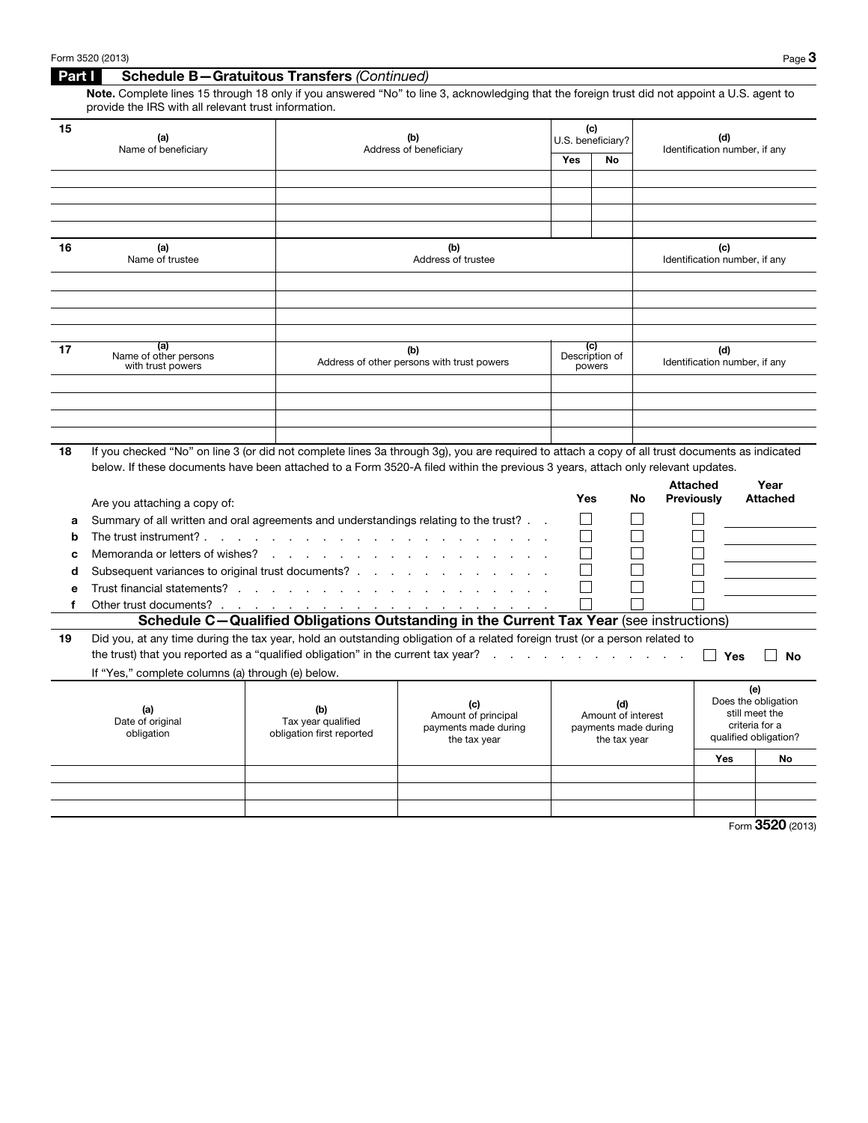## Part I Schedule B—Gratuitous Transfers *(Continued)*

Note. Complete lines 15 through 18 only if you answered "No" to line 3, acknowledging that the foreign trust did not appoint a U.S. agent to provide the IRS with all relevant trust information.

| 15 | (a)<br>Name of beneficiary                        | (b)<br>Address of beneficiary                                                                                                                 | (c)<br>U.S. beneficiary? |                                 | (d)<br>Identification number, if any |
|----|---------------------------------------------------|-----------------------------------------------------------------------------------------------------------------------------------------------|--------------------------|---------------------------------|--------------------------------------|
|    |                                                   |                                                                                                                                               | Yes                      | No.                             |                                      |
|    |                                                   |                                                                                                                                               |                          |                                 |                                      |
|    |                                                   |                                                                                                                                               |                          |                                 |                                      |
|    |                                                   |                                                                                                                                               |                          |                                 |                                      |
|    |                                                   |                                                                                                                                               |                          |                                 |                                      |
| 16 | (a)<br>Name of trustee                            | (b)<br>Address of trustee                                                                                                                     |                          |                                 | (c)<br>Identification number, if any |
|    |                                                   |                                                                                                                                               |                          |                                 |                                      |
|    |                                                   |                                                                                                                                               |                          |                                 |                                      |
|    |                                                   |                                                                                                                                               |                          |                                 |                                      |
|    |                                                   |                                                                                                                                               |                          |                                 |                                      |
| 17 | (a)<br>Name of other persons<br>with trust powers | (b)<br>Address of other persons with trust powers                                                                                             |                          | (c)<br>Description of<br>powers | (d)<br>Identification number, if any |
|    |                                                   |                                                                                                                                               |                          |                                 |                                      |
|    |                                                   |                                                                                                                                               |                          |                                 |                                      |
|    |                                                   |                                                                                                                                               |                          |                                 |                                      |
|    |                                                   |                                                                                                                                               |                          |                                 |                                      |
| 18 |                                                   | If you chacked "No" on line 3 (or did not complete lines 3a through 3g) you are required to attach a copy of all trust documents as indicated |                          |                                 |                                      |

18 If you checked "No" on line 3 (or did not complete lines 3a through 3g), you are required to attach a copy of all trust documents as indicated below. If these documents have been attached to a Form 3520-A filed within the previous 3 years, attach only relevant updates.

|    | Are you attaching a copy of:                                                         |                                                        |                                                                                                                             | Yes | No                                                                | <b>Attached</b><br><b>Previously</b> |                                         | Year<br><b>Attached</b>                      |
|----|--------------------------------------------------------------------------------------|--------------------------------------------------------|-----------------------------------------------------------------------------------------------------------------------------|-----|-------------------------------------------------------------------|--------------------------------------|-----------------------------------------|----------------------------------------------|
| а  | Summary of all written and oral agreements and understandings relating to the trust? |                                                        |                                                                                                                             |     |                                                                   |                                      |                                         |                                              |
| b  |                                                                                      |                                                        |                                                                                                                             |     |                                                                   |                                      |                                         |                                              |
| c  |                                                                                      |                                                        |                                                                                                                             |     |                                                                   |                                      |                                         |                                              |
| d  |                                                                                      |                                                        |                                                                                                                             |     |                                                                   |                                      |                                         |                                              |
| е  |                                                                                      |                                                        |                                                                                                                             |     |                                                                   |                                      |                                         |                                              |
|    |                                                                                      |                                                        |                                                                                                                             |     |                                                                   |                                      |                                         |                                              |
|    |                                                                                      |                                                        | Schedule C-Qualified Obligations Outstanding in the Current Tax Year (see instructions)                                     |     |                                                                   |                                      |                                         |                                              |
| 19 | If "Yes," complete columns (a) through (e) below.                                    |                                                        | Did you, at any time during the tax year, hold an outstanding obligation of a related foreign trust (or a person related to |     |                                                                   |                                      | Yes                                     | No                                           |
|    | (a)<br>Date of original<br>obligation                                                | (b)<br>Tax year qualified<br>obligation first reported | (c)<br>Amount of principal<br>payments made during<br>the tax year                                                          |     | (d)<br>Amount of interest<br>payments made during<br>the tax year |                                      | (e)<br>still meet the<br>criteria for a | Does the obligation<br>qualified obligation? |
|    |                                                                                      |                                                        |                                                                                                                             |     |                                                                   | <b>Yes</b>                           |                                         | <b>No</b>                                    |
|    |                                                                                      |                                                        |                                                                                                                             |     |                                                                   |                                      |                                         |                                              |
|    |                                                                                      |                                                        |                                                                                                                             |     |                                                                   |                                      |                                         |                                              |
|    |                                                                                      |                                                        |                                                                                                                             |     |                                                                   |                                      |                                         |                                              |

Form 3520 (2013)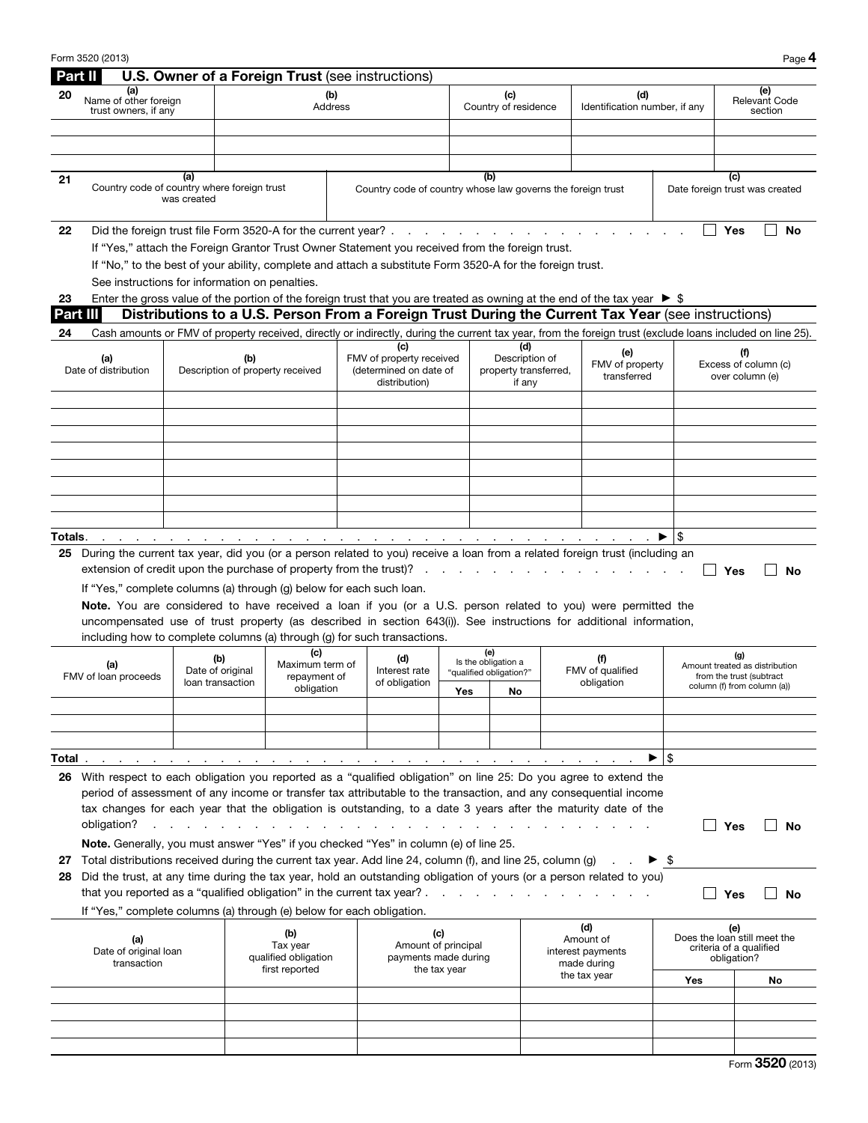|          | Form 3520 (2013)                                                                                                                                                                                                                                                                                                                                         |             |                                             |                                                      |                |                                                                                                                |              |                                                                                                                                                                                                                                |                                                          |                                                                                                                                                                                                                                    |                        | Page 4                                                                                           |
|----------|----------------------------------------------------------------------------------------------------------------------------------------------------------------------------------------------------------------------------------------------------------------------------------------------------------------------------------------------------------|-------------|---------------------------------------------|------------------------------------------------------|----------------|----------------------------------------------------------------------------------------------------------------|--------------|--------------------------------------------------------------------------------------------------------------------------------------------------------------------------------------------------------------------------------|----------------------------------------------------------|------------------------------------------------------------------------------------------------------------------------------------------------------------------------------------------------------------------------------------|------------------------|--------------------------------------------------------------------------------------------------|
| Part II  |                                                                                                                                                                                                                                                                                                                                                          |             |                                             |                                                      |                | U.S. Owner of a Foreign Trust (see instructions)                                                               |              |                                                                                                                                                                                                                                |                                                          |                                                                                                                                                                                                                                    |                        |                                                                                                  |
| 20       | (a)<br>Name of other foreign<br>trust owners, if any                                                                                                                                                                                                                                                                                                     |             |                                             |                                                      | (b)<br>Address |                                                                                                                |              | (c)<br>Country of residence                                                                                                                                                                                                    |                                                          | (d)<br>Identification number, if any                                                                                                                                                                                               |                        | (e)<br><b>Relevant Code</b><br>section                                                           |
|          |                                                                                                                                                                                                                                                                                                                                                          |             |                                             |                                                      |                |                                                                                                                |              |                                                                                                                                                                                                                                |                                                          |                                                                                                                                                                                                                                    |                        |                                                                                                  |
|          |                                                                                                                                                                                                                                                                                                                                                          |             |                                             |                                                      |                |                                                                                                                |              |                                                                                                                                                                                                                                |                                                          |                                                                                                                                                                                                                                    |                        |                                                                                                  |
|          |                                                                                                                                                                                                                                                                                                                                                          | (a)         |                                             |                                                      |                |                                                                                                                |              | (b)                                                                                                                                                                                                                            |                                                          |                                                                                                                                                                                                                                    |                        | (c)                                                                                              |
| 21       | Country code of country where foreign trust                                                                                                                                                                                                                                                                                                              | was created |                                             |                                                      |                | Country code of country whose law governs the foreign trust                                                    |              |                                                                                                                                                                                                                                |                                                          |                                                                                                                                                                                                                                    |                        | Date foreign trust was created                                                                   |
| 22       | Did the foreign trust file Form 3520-A for the current year?.                                                                                                                                                                                                                                                                                            |             |                                             |                                                      |                |                                                                                                                |              | and the contract of the contract of the contract of the contract of the contract of the contract of the contract of the contract of the contract of the contract of the contract of the contract of the contract of the contra |                                                          |                                                                                                                                                                                                                                    |                        | Yes<br><b>No</b>                                                                                 |
|          |                                                                                                                                                                                                                                                                                                                                                          |             |                                             |                                                      |                | If "Yes," attach the Foreign Grantor Trust Owner Statement you received from the foreign trust.                |              |                                                                                                                                                                                                                                |                                                          |                                                                                                                                                                                                                                    |                        |                                                                                                  |
|          | If "No," to the best of your ability, complete and attach a substitute Form 3520-A for the foreign trust.                                                                                                                                                                                                                                                |             |                                             |                                                      |                |                                                                                                                |              |                                                                                                                                                                                                                                |                                                          |                                                                                                                                                                                                                                    |                        |                                                                                                  |
|          | See instructions for information on penalties.                                                                                                                                                                                                                                                                                                           |             |                                             |                                                      |                |                                                                                                                |              |                                                                                                                                                                                                                                |                                                          |                                                                                                                                                                                                                                    |                        |                                                                                                  |
| 23       |                                                                                                                                                                                                                                                                                                                                                          |             |                                             |                                                      |                |                                                                                                                |              |                                                                                                                                                                                                                                |                                                          | Enter the gross value of the portion of the foreign trust that you are treated as owning at the end of the tax year $\triangleright$ \$                                                                                            |                        |                                                                                                  |
|          | Part III                                                                                                                                                                                                                                                                                                                                                 |             |                                             |                                                      |                |                                                                                                                |              |                                                                                                                                                                                                                                |                                                          | Distributions to a U.S. Person From a Foreign Trust During the Current Tax Year (see instructions)                                                                                                                                 |                        |                                                                                                  |
| 24       |                                                                                                                                                                                                                                                                                                                                                          |             |                                             |                                                      |                |                                                                                                                |              |                                                                                                                                                                                                                                |                                                          | Cash amounts or FMV of property received, directly or indirectly, during the current tax year, from the foreign trust (exclude loans included on line 25).                                                                         |                        |                                                                                                  |
|          | (a)<br>Date of distribution                                                                                                                                                                                                                                                                                                                              |             | (b)                                         | Description of property received                     |                | (c)<br>FMV of property received<br>(determined on date of<br>distribution)                                     |              |                                                                                                                                                                                                                                | (d)<br>Description of<br>property transferred,<br>if any | (e)<br>FMV of property<br>transferred                                                                                                                                                                                              |                        | Excess of column (c)<br>over column (e)                                                          |
|          |                                                                                                                                                                                                                                                                                                                                                          |             |                                             |                                                      |                |                                                                                                                |              |                                                                                                                                                                                                                                |                                                          |                                                                                                                                                                                                                                    |                        |                                                                                                  |
|          |                                                                                                                                                                                                                                                                                                                                                          |             |                                             |                                                      |                |                                                                                                                |              |                                                                                                                                                                                                                                |                                                          |                                                                                                                                                                                                                                    |                        |                                                                                                  |
|          |                                                                                                                                                                                                                                                                                                                                                          |             |                                             |                                                      |                |                                                                                                                |              |                                                                                                                                                                                                                                |                                                          |                                                                                                                                                                                                                                    |                        |                                                                                                  |
|          |                                                                                                                                                                                                                                                                                                                                                          |             |                                             |                                                      |                |                                                                                                                |              |                                                                                                                                                                                                                                |                                                          |                                                                                                                                                                                                                                    |                        |                                                                                                  |
|          |                                                                                                                                                                                                                                                                                                                                                          |             |                                             |                                                      |                |                                                                                                                |              |                                                                                                                                                                                                                                |                                                          |                                                                                                                                                                                                                                    |                        |                                                                                                  |
|          |                                                                                                                                                                                                                                                                                                                                                          |             |                                             |                                                      |                |                                                                                                                |              |                                                                                                                                                                                                                                |                                                          |                                                                                                                                                                                                                                    |                        |                                                                                                  |
|          |                                                                                                                                                                                                                                                                                                                                                          |             |                                             |                                                      |                |                                                                                                                |              |                                                                                                                                                                                                                                |                                                          |                                                                                                                                                                                                                                    |                        |                                                                                                  |
| Totals.  |                                                                                                                                                                                                                                                                                                                                                          |             |                                             |                                                      |                | and a complete the complete problem in the complete problem in the complete problem of the complete problem in |              |                                                                                                                                                                                                                                |                                                          |                                                                                                                                                                                                                                    | \$                     |                                                                                                  |
|          | 25 During the current tax year, did you (or a person related to you) receive a loan from a related foreign trust (including an<br>extension of credit upon the purchase of property from the trust)?<br>If "Yes," complete columns (a) through (g) below for each such loan.<br>including how to complete columns (a) through (g) for such transactions. |             |                                             |                                                      |                |                                                                                                                |              |                                                                                                                                                                                                                                |                                                          | Note. You are considered to have received a loan if you (or a U.S. person related to you) were permitted the<br>uncompensated use of trust property (as described in section 643(i)). See instructions for additional information, |                        | Yes<br>No                                                                                        |
|          | (a)<br>FMV of loan proceeds                                                                                                                                                                                                                                                                                                                              |             | (b)<br>Date of original<br>loan transaction | (c)<br>Maximum term of<br>repayment of<br>obligation |                | (d)<br>Interest rate<br>of obligation                                                                          |              | (e)<br>Is the obligation a<br>"qualified obligation?"<br>Yes<br>No                                                                                                                                                             |                                                          | (f)<br>FMV of qualified<br>obligation                                                                                                                                                                                              |                        | (g)<br>Amount treated as distribution<br>from the trust (subtract<br>column (f) from column (a)) |
|          |                                                                                                                                                                                                                                                                                                                                                          |             |                                             |                                                      |                |                                                                                                                |              |                                                                                                                                                                                                                                |                                                          |                                                                                                                                                                                                                                    |                        |                                                                                                  |
|          |                                                                                                                                                                                                                                                                                                                                                          |             |                                             |                                                      |                |                                                                                                                |              |                                                                                                                                                                                                                                |                                                          |                                                                                                                                                                                                                                    |                        |                                                                                                  |
|          |                                                                                                                                                                                                                                                                                                                                                          |             |                                             |                                                      |                |                                                                                                                |              |                                                                                                                                                                                                                                |                                                          |                                                                                                                                                                                                                                    |                        |                                                                                                  |
| Total .  |                                                                                                                                                                                                                                                                                                                                                          |             |                                             |                                                      |                | and the contract of the contract of the contract of the contract of the contract of                            |              |                                                                                                                                                                                                                                |                                                          |                                                                                                                                                                                                                                    | \$                     |                                                                                                  |
|          | 26 With respect to each obligation you reported as a "qualified obligation" on line 25: Do you agree to extend the<br>obligation?<br>Note. Generally, you must answer "Yes" if you checked "Yes" in column (e) of line 25.                                                                                                                               |             |                                             |                                                      |                |                                                                                                                |              |                                                                                                                                                                                                                                |                                                          | period of assessment of any income or transfer tax attributable to the transaction, and any consequential income<br>tax changes for each year that the obligation is outstanding, to a date 3 years after the maturity date of the |                        | Yes<br><b>No</b>                                                                                 |
| 27<br>28 | Total distributions received during the current tax year. Add line 24, column (f), and line 25, column (g)<br>that you reported as a "qualified obligation" in the current tax year? .                                                                                                                                                                   |             |                                             |                                                      |                |                                                                                                                |              |                                                                                                                                                                                                                                |                                                          | Did the trust, at any time during the tax year, hold an outstanding obligation of yours (or a person related to you)<br>the contract of the contract of the contract of the                                                        | - \$<br>$\blacksquare$ | Yes<br><b>No</b>                                                                                 |
|          | If "Yes," complete columns (a) through (e) below for each obligation.                                                                                                                                                                                                                                                                                    |             |                                             |                                                      |                |                                                                                                                |              |                                                                                                                                                                                                                                |                                                          | (d)                                                                                                                                                                                                                                |                        |                                                                                                  |
|          | (a)<br>Date of original loan<br>transaction                                                                                                                                                                                                                                                                                                              |             |                                             | (b)<br>Tax year<br>qualified obligation              |                | (c)<br>Amount of principal<br>payments made during                                                             |              |                                                                                                                                                                                                                                |                                                          | Amount of<br>interest payments<br>made during                                                                                                                                                                                      |                        | (e)<br>Does the loan still meet the<br>criteria of a qualified<br>obligation?                    |
|          |                                                                                                                                                                                                                                                                                                                                                          |             |                                             | first reported                                       |                |                                                                                                                | the tax year |                                                                                                                                                                                                                                |                                                          | the tax year                                                                                                                                                                                                                       | Yes                    | No                                                                                               |
|          |                                                                                                                                                                                                                                                                                                                                                          |             |                                             |                                                      |                |                                                                                                                |              |                                                                                                                                                                                                                                |                                                          |                                                                                                                                                                                                                                    |                        |                                                                                                  |
|          |                                                                                                                                                                                                                                                                                                                                                          |             |                                             |                                                      |                |                                                                                                                |              |                                                                                                                                                                                                                                |                                                          |                                                                                                                                                                                                                                    |                        |                                                                                                  |
|          |                                                                                                                                                                                                                                                                                                                                                          |             |                                             |                                                      |                |                                                                                                                |              |                                                                                                                                                                                                                                |                                                          |                                                                                                                                                                                                                                    |                        |                                                                                                  |
|          |                                                                                                                                                                                                                                                                                                                                                          |             |                                             |                                                      |                |                                                                                                                |              |                                                                                                                                                                                                                                |                                                          |                                                                                                                                                                                                                                    |                        |                                                                                                  |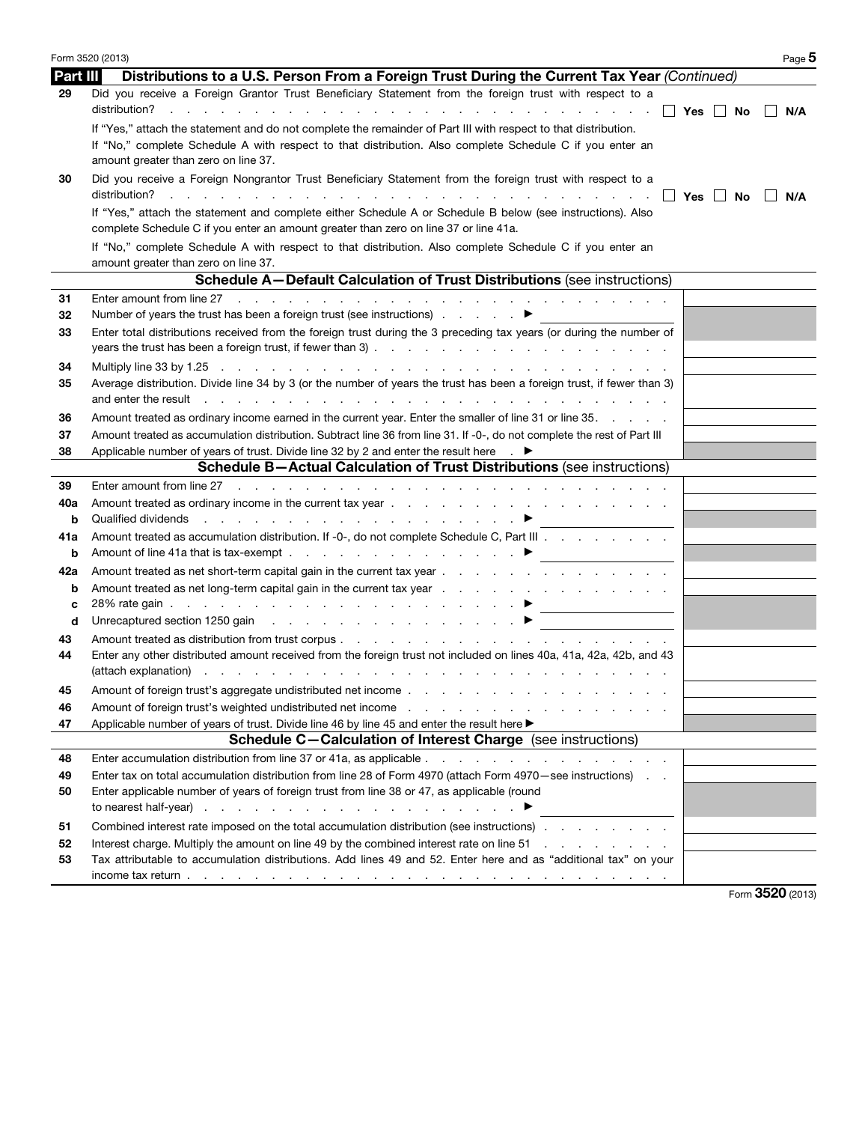|          | Form 3520 (2013)<br>Page 5                                                                                                                                                                                                     |
|----------|--------------------------------------------------------------------------------------------------------------------------------------------------------------------------------------------------------------------------------|
| Part III | Distributions to a U.S. Person From a Foreign Trust During the Current Tax Year (Continued)                                                                                                                                    |
| 29       | Did you receive a Foreign Grantor Trust Beneficiary Statement from the foreign trust with respect to a                                                                                                                         |
|          | distribution?<br>N/A                                                                                                                                                                                                           |
|          | If "Yes," attach the statement and do not complete the remainder of Part III with respect to that distribution.                                                                                                                |
|          | If "No," complete Schedule A with respect to that distribution. Also complete Schedule C if you enter an                                                                                                                       |
|          | amount greater than zero on line 37.                                                                                                                                                                                           |
| 30       | Did you receive a Foreign Nongrantor Trust Beneficiary Statement from the foreign trust with respect to a                                                                                                                      |
|          |                                                                                                                                                                                                                                |
|          | N/A                                                                                                                                                                                                                            |
|          | If "Yes," attach the statement and complete either Schedule A or Schedule B below (see instructions). Also                                                                                                                     |
|          | complete Schedule C if you enter an amount greater than zero on line 37 or line 41a.                                                                                                                                           |
|          | If "No," complete Schedule A with respect to that distribution. Also complete Schedule C if you enter an                                                                                                                       |
|          | amount greater than zero on line 37.                                                                                                                                                                                           |
|          | <b>Schedule A-Default Calculation of Trust Distributions (see instructions)</b>                                                                                                                                                |
| 31       |                                                                                                                                                                                                                                |
| 32       | Number of years the trust has been a foreign trust (see instructions) $\blacksquare$                                                                                                                                           |
| 33       | Enter total distributions received from the foreign trust during the 3 preceding tax years (or during the number of                                                                                                            |
|          |                                                                                                                                                                                                                                |
| 34       |                                                                                                                                                                                                                                |
| 35       | Average distribution. Divide line 34 by 3 (or the number of years the trust has been a foreign trust, if fewer than 3)                                                                                                         |
|          | and enter the result result in the contract of the contract of the contract of the contract of the contract of the contract of the contract of the contract of the contract of the contract of the contract of the contract of |
| 36       | Amount treated as ordinary income earned in the current year. Enter the smaller of line 31 or line 35.                                                                                                                         |
| 37       | Amount treated as accumulation distribution. Subtract line 36 from line 31. If -0-, do not complete the rest of Part III                                                                                                       |
| 38       | Applicable number of years of trust. Divide line 32 by 2 and enter the result here $\quad$ .                                                                                                                                   |
|          | <b>Schedule B-Actual Calculation of Trust Distributions (see instructions)</b>                                                                                                                                                 |
| 39       | Enter amount from line 27 (edge) and contact the contact of the contact of the contact of the contact of the contact of the contact of the contact of the contact of the contact of the contact of the contact of the contact  |
| 40a      |                                                                                                                                                                                                                                |
| b        |                                                                                                                                                                                                                                |
| 41a      | Amount treated as accumulation distribution. If -0-, do not complete Schedule C, Part III                                                                                                                                      |
| b        |                                                                                                                                                                                                                                |
| 42a      |                                                                                                                                                                                                                                |
| b        |                                                                                                                                                                                                                                |
|          |                                                                                                                                                                                                                                |
| c<br>d   | Unrecaptured section 1250 gain and a section 1250 gain and a section of the section of the section of the section of the section of the section of the section of the section of the section of the section of the section of  |
|          |                                                                                                                                                                                                                                |
| 43       |                                                                                                                                                                                                                                |
| 44       | Enter any other distributed amount received from the foreign trust not included on lines 40a, 41a, 42a, 42b, and 43                                                                                                            |
|          |                                                                                                                                                                                                                                |
| 45       | Amount of foreign trust's aggregate undistributed net income                                                                                                                                                                   |
| 46       |                                                                                                                                                                                                                                |
| 47       | Applicable number of years of trust. Divide line 46 by line 45 and enter the result here ▶                                                                                                                                     |
|          | <b>Schedule C-Calculation of Interest Charge</b> (see instructions)                                                                                                                                                            |
| 48       |                                                                                                                                                                                                                                |
| 49       | Enter tax on total accumulation distribution from line 28 of Form 4970 (attach Form 4970 – see instructions).                                                                                                                  |
| 50       | Enter applicable number of years of foreign trust from line 38 or 47, as applicable (round                                                                                                                                     |
|          |                                                                                                                                                                                                                                |
| 51       | Combined interest rate imposed on the total accumulation distribution (see instructions)                                                                                                                                       |
| 52       | Interest charge. Multiply the amount on line 49 by the combined interest rate on line 51                                                                                                                                       |
| 53       | Tax attributable to accumulation distributions. Add lines 49 and 52. Enter here and as "additional tax" on your                                                                                                                |
|          | income tax return $\ldots$ $\ldots$ $\ldots$ $\ldots$ $\ldots$ $\ldots$ $\ldots$ $\ldots$ $\ldots$ $\ldots$ $\ldots$ $\ldots$ $\ldots$ $\ldots$                                                                                |
|          | Form 3520 (2013)                                                                                                                                                                                                               |